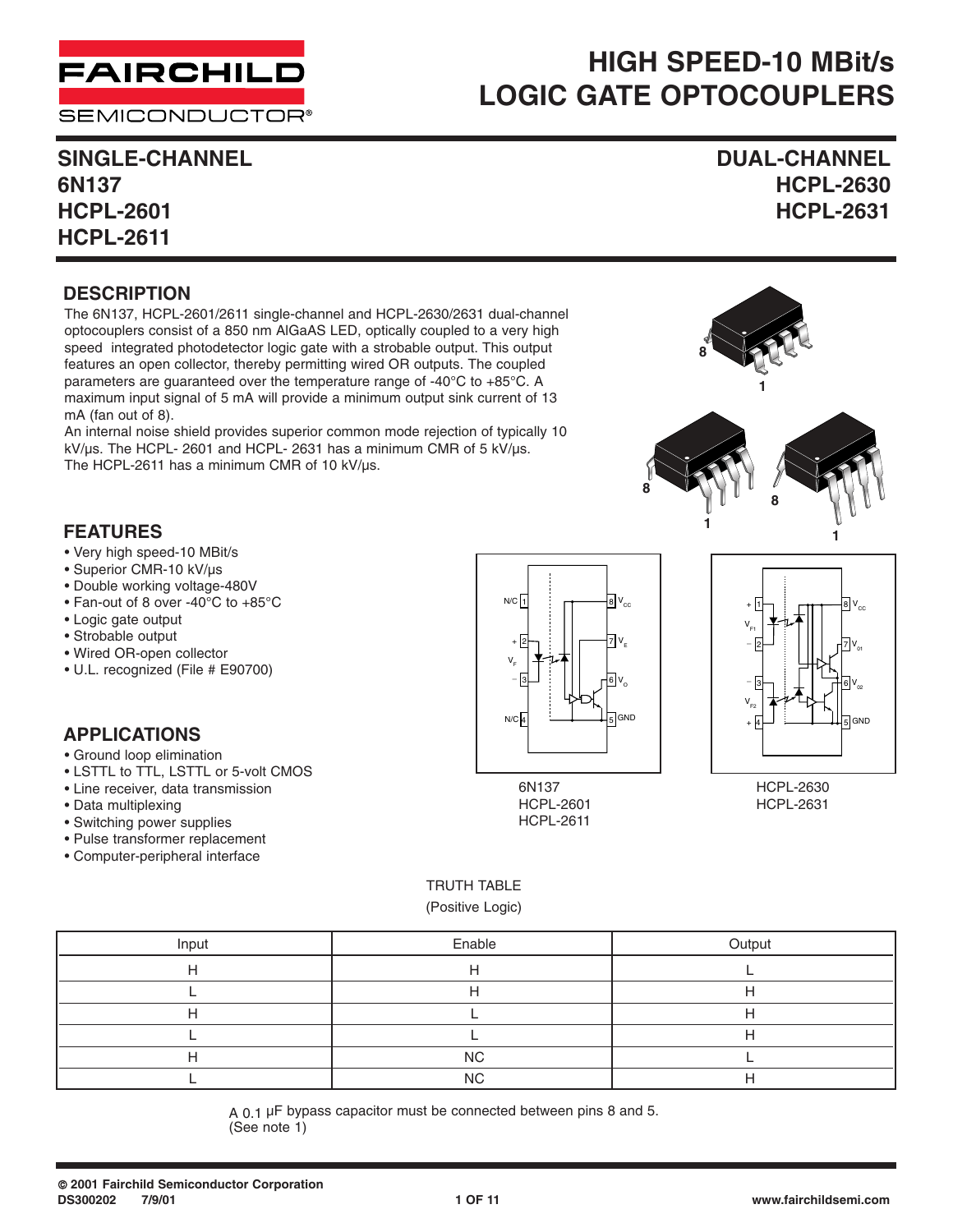

#### **SEMICONDUCTOR®**

# **HIGH SPEED-10 MBit/s LOGIC GATE OPTOCOUPLERS**

**SINGLE-CHANNEL DUAL-CHANNEL 6N137 HCPL-2630 HCPL-2601 HCPL-2631 HCPL-2611**

#### **DESCRIPTION**

The 6N137, HCPL-2601/2611 single-channel and HCPL-2630/2631 dual-channel optocouplers consist of a 850 nm AlGaAS LED, optically coupled to a very high speed integrated photodetector logic gate with a strobable output. This output features an open collector, thereby permitting wired OR outputs. The coupled parameters are guaranteed over the temperature range of -40°C to +85°C. A maximum input signal of 5 mA will provide a minimum output sink current of 13 mA (fan out of 8).

An internal noise shield provides superior common mode rejection of typically 10 kV/µs. The HCPL- 2601 and HCPL- 2631 has a minimum CMR of 5 kV/µs. The HCPL-2611 has a minimum CMR of 10 kV/µs.



#### **FEATURES**

- Very high speed-10 MBit/s
- Superior CMR-10 kV/µs
- Double working voltage-480V
- Fan-out of 8 over -40°C to +85°C
- Logic gate output
- Strobable output
- Wired OR-open collector
- U.L. recognized (File # E90700)

#### **APPLICATIONS**

- Ground loop elimination
- LSTTL to TTL, LSTTL or 5-volt CMOS
- Line receiver, data transmission
- Data multiplexing
- Switching power supplies
- Pulse transformer replacement
- Computer-peripheral interface







HCPL-2630 HCPL-2631

#### TRUTH TABLE

(Positive Logic)

| Input | Enable    | Output |
|-------|-----------|--------|
|       |           |        |
|       |           |        |
|       |           |        |
|       |           |        |
|       | <b>NC</b> |        |
|       | <b>NC</b> |        |

A 0.1 µF bypass capacitor must be connected between pins 8 and 5. (See note 1)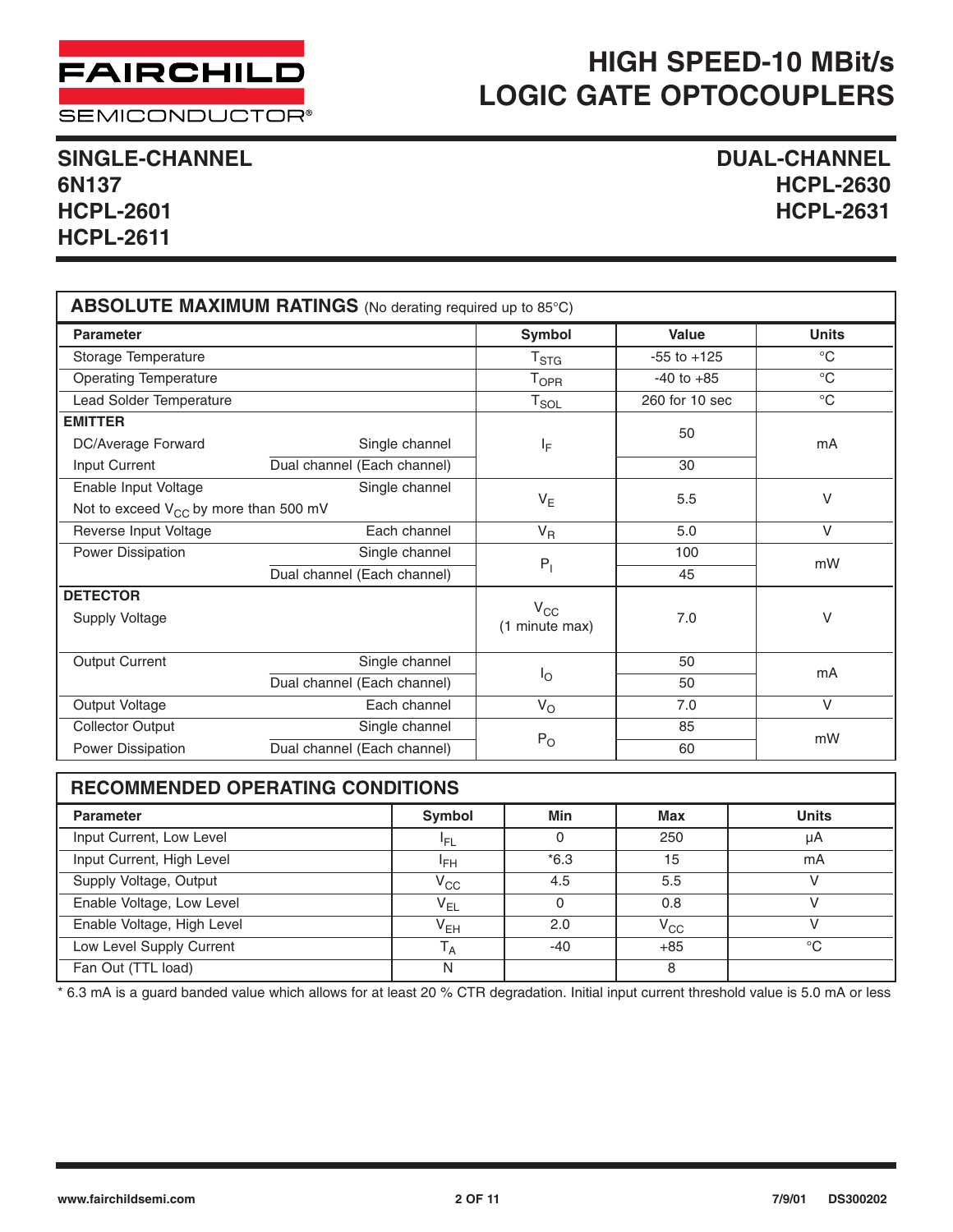

**SEMICONDUCTOR®** 

## **SINGLE-CHANNEL DUAL-CHANNEL HCPL-2601 HCPL-2631 HCPL-2611**

**6N137 HCPL-2630**

| ABSOLUTE MAXIMUM RATINGS (No derating required up to 85°C)                           |                                               |                                |                 |                   |  |
|--------------------------------------------------------------------------------------|-----------------------------------------------|--------------------------------|-----------------|-------------------|--|
| <b>Parameter</b>                                                                     |                                               | <b>Symbol</b>                  | <b>Value</b>    | <b>Units</b>      |  |
| Storage Temperature                                                                  |                                               | T <sub>STG</sub>               | $-55$ to $+125$ | $\rm ^{\circ}C$   |  |
| <b>Operating Temperature</b>                                                         |                                               | <b>T</b> <sub>OPR</sub>        | $-40$ to $+85$  | $^{\circ}C$       |  |
| Lead Solder Temperature                                                              |                                               | $T_{SOL}$                      | 260 for 10 sec  | $^{\circ}{\rm C}$ |  |
| <b>EMITTER</b><br>DC/Average Forward<br>Input Current                                | Single channel<br>Dual channel (Each channel) | ΙF                             | 50<br>30        | mA                |  |
| Single channel<br>Enable Input Voltage<br>Not to exceed $V_{CC}$ by more than 500 mV |                                               | $V_{E}$                        | 5.5             | V                 |  |
| Reverse Input Voltage                                                                | Each channel                                  | $V_R$                          | 5.0             | $\vee$            |  |
| Power Dissipation<br>Single channel                                                  |                                               |                                | 100             | mW                |  |
|                                                                                      | Dual channel (Each channel)                   | $P_1$                          | 45              |                   |  |
| <b>DETECTOR</b><br>Supply Voltage                                                    |                                               | $V_{\rm CC}$<br>(1 minute max) | 7.0             | V                 |  |
| <b>Output Current</b>                                                                | Single channel                                |                                | 50              | mA                |  |
|                                                                                      | Dual channel (Each channel)                   | $I_{\bigcirc}$                 | 50              |                   |  |
| Output Voltage                                                                       | Each channel                                  | $V_{\rm O}$                    | 7.0             | $\vee$            |  |
| <b>Collector Output</b>                                                              | Single channel                                | 85                             |                 | mW                |  |
| Power Dissipation                                                                    | Dual channel (Each channel)                   | $P_{O}$                        | 60              |                   |  |

| <b>RECOMMENDED OPERATING CONDITIONS</b> |                                             |        |              |             |  |  |  |  |
|-----------------------------------------|---------------------------------------------|--------|--------------|-------------|--|--|--|--|
| <b>Parameter</b>                        | Min<br><b>Units</b><br>Symbol<br><b>Max</b> |        |              |             |  |  |  |  |
| Input Current, Low Level                | 'FL                                         | 0      | 250          | μA          |  |  |  |  |
| Input Current, High Level               | <sup>I</sup> FH                             | $*6.3$ | 15           | mA          |  |  |  |  |
| Supply Voltage, Output                  | $V_{CC}$                                    | 4.5    | 5.5          |             |  |  |  |  |
| Enable Voltage, Low Level               | $V_{EL}$                                    | 0      | 0.8          |             |  |  |  |  |
| Enable Voltage, High Level              | V <sub>EH</sub>                             | 2.0    | $V_{\rm CC}$ |             |  |  |  |  |
| Low Level Supply Current                | $T_A$                                       | $-40$  | $+85$        | $^{\circ}C$ |  |  |  |  |
| Fan Out (TTL load)                      | N                                           |        | 8            |             |  |  |  |  |

\* 6.3 mA is a guard banded value which allows for at least 20 % CTR degradation. Initial input current threshold value is 5.0 mA or less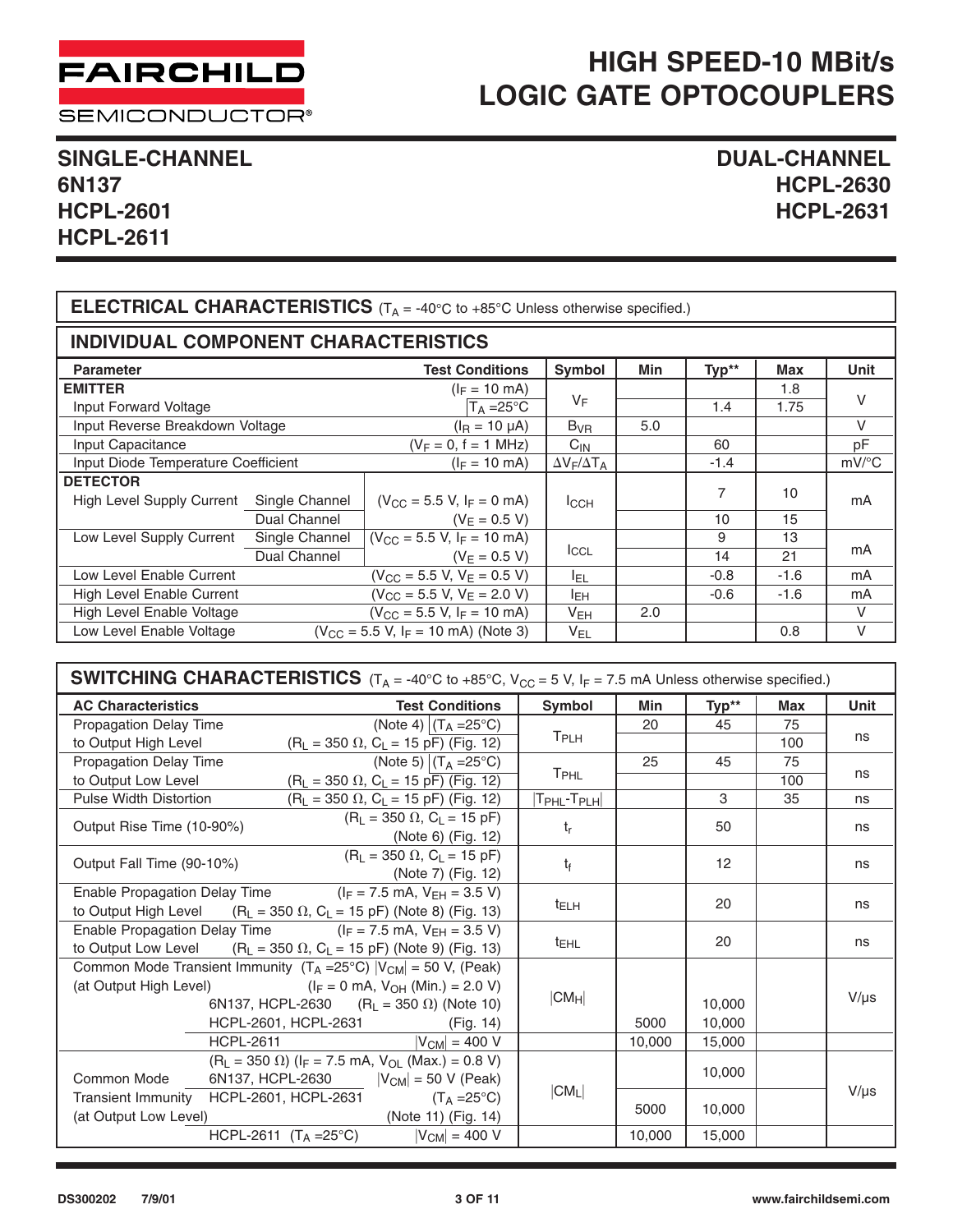

SEMICONDUCTOR®

# **SINGLE-CHANNEL DUAL-CHANNEL HCPL-2601 HCPL-2631 HCPL-2611**

# **6N137 HCPL-2630**

| <b>ELECTRICAL CHARACTERISTICS</b> ( $T_A = -40^{\circ}C$ to $+85^{\circ}C$ Unless otherwise specified.) |                |                                          |                         |     |        |        |                     |
|---------------------------------------------------------------------------------------------------------|----------------|------------------------------------------|-------------------------|-----|--------|--------|---------------------|
| <b>INDIVIDUAL COMPONENT CHARACTERISTICS</b>                                                             |                |                                          |                         |     |        |        |                     |
| <b>Parameter</b>                                                                                        |                | <b>Test Conditions</b>                   | <b>Symbol</b>           | Min | Typ**  | Max    | <b>Unit</b>         |
| <b>EMITTER</b>                                                                                          |                | $(I_F = 10 \text{ mA})$                  |                         |     |        | 1.8    |                     |
| Input Forward Voltage                                                                                   |                | $T_A = 25^{\circ}C$                      | VF                      |     | 1.4    | 1.75   | $\vee$              |
| Input Reverse Breakdown Voltage                                                                         |                | $(IR = 10 \mu A)$                        | $B_{VR}$                | 5.0 |        |        | $\vee$              |
| Input Capacitance                                                                                       |                | $(V_F = 0, f = 1 MHz)$                   | $C_{IN}$                |     | 60     |        | pF                  |
| Input Diode Temperature Coefficient                                                                     |                | $(I_F = 10 \text{ mA})$                  | $\Delta V_F/\Delta T_A$ |     | $-1.4$ |        | $mV$ <sup>o</sup> C |
| <b>DETECTOR</b>                                                                                         |                |                                          |                         |     |        |        |                     |
| High Level Supply Current                                                                               | Single Channel | $(V_{CC} = 5.5 V, I_F = 0 mA)$           | ICCH                    |     | 7      | 10     | mA                  |
|                                                                                                         | Dual Channel   | $(V_E = 0.5 V)$                          |                         |     | 10     | 15     |                     |
| Low Level Supply Current                                                                                | Single Channel | $(V_{CC} = 5.5 V, I_F = 10 mA)$          |                         |     | 9      | 13     |                     |
|                                                                                                         | Dual Channel   | $(V_F = 0.5 V)$                          | <b>ICCL</b>             |     | 14     | 21     | mA                  |
| Low Level Enable Current                                                                                |                | $(V_{CC} = 5.5 V, V_E = 0.5 V)$          | ler.                    |     | $-0.8$ | $-1.6$ | mA                  |
| High Level Enable Current                                                                               |                | $(V_{CC} = 5.5 V, V_E = 2.0 V)$          | IЕH                     |     | $-0.6$ | $-1.6$ | mA                  |
| High Level Enable Voltage                                                                               |                | $(V_{CC} = 5.5 V, I_F = 10 mA)$          | $V_{EH}$                | 2.0 |        |        | $\vee$              |
| Low Level Enable Voltage                                                                                |                | $(V_{CC} = 5.5 V, I_F = 10 mA)$ (Note 3) | $V_{EL}$                |     |        | 0.8    | $\vee$              |

| <b>SWITCHING CHARACTERISTICS</b> ( $T_A = -40^{\circ}C$ to $+85^{\circ}C$ , $V_{CC} = 5$ V, $I_F = 7.5$ mA Unless otherwise specified.) |                                                                                                                                                                                                                          |                                 |        |                  |            |           |
|-----------------------------------------------------------------------------------------------------------------------------------------|--------------------------------------------------------------------------------------------------------------------------------------------------------------------------------------------------------------------------|---------------------------------|--------|------------------|------------|-----------|
| <b>AC Characteristics</b>                                                                                                               | <b>Test Conditions</b>                                                                                                                                                                                                   | Symbol                          | Min    | Typ**            | <b>Max</b> | Unit      |
| Propagation Delay Time                                                                                                                  | (Note 4) $(T_A = 25^{\circ}C)$                                                                                                                                                                                           |                                 | 20     | 45               | 75         |           |
| to Output High Level                                                                                                                    | $(R_L = 350 \Omega, C_L = 15 \text{ pF})$ (Fig. 12)                                                                                                                                                                      | T <sub>PLH</sub>                |        |                  | 100        | ns        |
| Propagation Delay Time                                                                                                                  | (Note 5) $(T_A = 25^{\circ}C)$                                                                                                                                                                                           |                                 | 25     | 45               | 75         |           |
| to Output Low Level                                                                                                                     | $(R_L = 350 \Omega, C_L = 15 \overline{pF}$ (Fig. 12)                                                                                                                                                                    | T <sub>PHL</sub>                |        |                  | 100        | ns        |
| <b>Pulse Width Distortion</b>                                                                                                           | $(R_L = 350 \Omega, C_L = 15 \text{ pF})$ (Fig. 12)                                                                                                                                                                      | $ T_{\sf PHL}$ - $T_{\sf PLH} $ |        | 3                | 35         | ns        |
| Output Rise Time (10-90%)                                                                                                               | $(R_1 = 350 \Omega, C_L = 15 pF)$<br>(Note 6) (Fig. 12)                                                                                                                                                                  | t <sub>r</sub>                  |        | 50               |            | ns        |
| Output Fall Time (90-10%)                                                                                                               | $(R_L = 350 \Omega, C_L = 15 \text{ pF})$<br>(Note 7) (Fig. 12)                                                                                                                                                          | $t_{\rm f}$                     |        | 12               |            | ns        |
|                                                                                                                                         | Enable Propagation Delay Time $(I_F = 7.5 \text{ mA}, V_{EH} = 3.5 \text{ V})$<br>to Output High Level $(R_L = 350 \Omega, C_L = 15 pF)$ (Note 8) (Fig. 13)                                                              | <sup>t</sup> ELH                |        | 20               |            | ns        |
|                                                                                                                                         | Enable Propagation Delay Time $(I_F = 7.5 \text{ mA}, V_{EH} = 3.5 \text{ V})$<br>to Output Low Level $(R_L = 350 \Omega, C_L = 15 pF)$ (Note 9) (Fig. 13)                                                               | <sup>t</sup> EHL                |        | 20               |            | ns        |
| (at Output High Level)                                                                                                                  | Common Mode Transient Immunity $(T_A = 25^{\circ}C)$ $ V_{CM}  = 50 V$ , (Peak)<br>$(I_F = 0 \text{ mA}, V_{OH} (Min.) = 2.0 V)$<br>6N137, HCPL-2630 $(R_L = 350 \Omega)$ (Note 10)<br>HCPL-2601, HCPL-2631<br>(Fig. 14) | $ CM_H $                        | 5000   | 10.000<br>10,000 |            | $V/\mu s$ |
|                                                                                                                                         | $ V_{CM}  = 400 V$<br>HCPL-2611 and the state of the state of the state of the state of the state of the state of the state of the s                                                                                     |                                 | 10.000 | 15,000           |            |           |
| Common Mode                                                                                                                             | $(R_L = 350 \Omega)$ ( $I_F = 7.5$ mA, $V_{OL}$ (Max.) = 0.8 V)<br>6N137, HCPL-2630 $ V_{CM}  = 50$ V (Peak)                                                                                                             |                                 |        | 10,000           |            |           |
| (at Output Low Level)                                                                                                                   | Transient Immunity HCPL-2601, HCPL-2631 $(T_A = 25^{\circ}C)$<br>(Note 11) (Fig. 14)                                                                                                                                     | $ CM_L $                        | 5000   | 10,000           |            | $V/\mu s$ |
|                                                                                                                                         | HCPL-2611 (T <sub>A</sub> = 25°C) $ V_{CM}  = 400 V$                                                                                                                                                                     |                                 | 10,000 | 15,000           |            |           |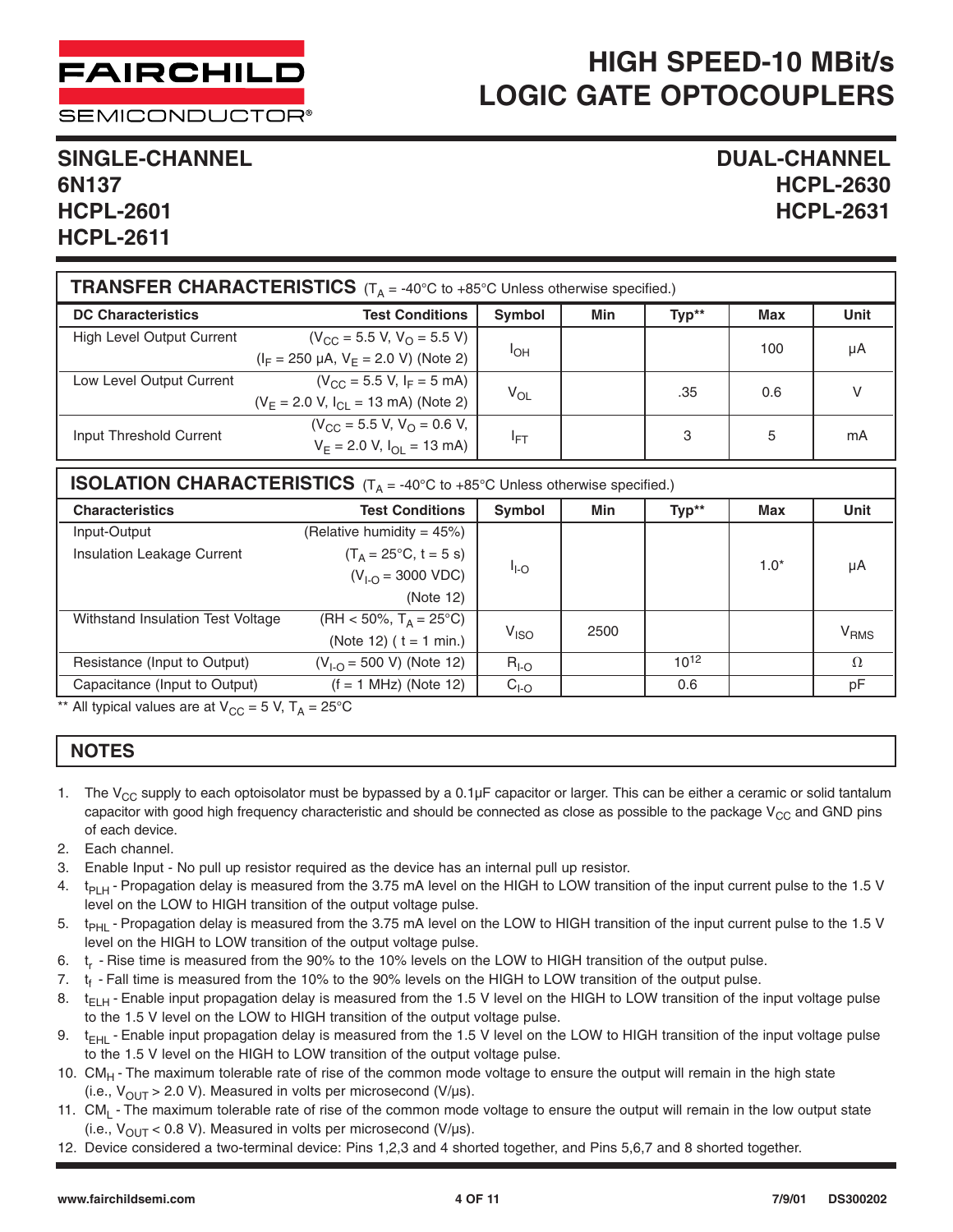**SEMICONDUCTOR®** 

#### **SINGLE-CHANNEL DUAL-CHANNEL 6N137 HCPL-2630 HCPL-2601 HCPL-2631 HCPL-2611**

| <b>TRANSFER CHARACTERISTICS</b> $(T_A = -40^{\circ}C \text{ to } +85^{\circ}C$ Unless otherwise specified.) |                                           |                 |     |       |     |      |
|-------------------------------------------------------------------------------------------------------------|-------------------------------------------|-----------------|-----|-------|-----|------|
| <b>DC Characteristics</b>                                                                                   | <b>Test Conditions</b>                    | Symbol          | Min | Typ** | Max | Unit |
| High Level Output Current                                                                                   | $(V_{CC} = 5.5 V, V_{O} = 5.5 V)$         |                 |     |       | 100 | μA   |
|                                                                                                             | $(I_F = 250 \mu A, V_F = 2.0 V)$ (Note 2) | $I_{OH}$        |     |       |     |      |
| Low Level Output Current                                                                                    | $(V_{CC} = 5.5 V, I_F = 5 mA)$            |                 |     | .35   | 0.6 | V    |
|                                                                                                             | $(V_F = 2.0 V, I_{Cl} = 13 mA)$ (Note 2)  | $V_{OL}$        |     |       |     |      |
| Input Threshold Current                                                                                     | $(V_{CC} = 5.5 V, V_{O} = 0.6 V,$         |                 |     | 3     | 5   | mA   |
|                                                                                                             | $V_F = 2.0 V, I_{OL} = 13 mA$             | <sup>I</sup> FT |     |       |     |      |

| <b>ISOLATION CHARACTERISTICS</b> $(T_A = -40^{\circ}C$ to $+85^{\circ}C$ Unless otherwise specified.) |                                  |                  |      |           |            |                        |
|-------------------------------------------------------------------------------------------------------|----------------------------------|------------------|------|-----------|------------|------------------------|
| <b>Characteristics</b>                                                                                | <b>Test Conditions</b>           | Symbol           | Min  | Typ**     | <b>Max</b> | <b>Unit</b>            |
| Input-Output                                                                                          | (Relative humidity = $45\%$ )    |                  |      |           |            |                        |
| Insulation Leakage Current                                                                            | $(T_A = 25^{\circ}C, t = 5 s)$   |                  |      |           | $1.0*$     |                        |
|                                                                                                       | $(V_{1-Q} = 3000 \text{ VDC})$   | $I_{\text{LO}}$  |      |           |            | μA                     |
|                                                                                                       | (Note 12)                        |                  |      |           |            |                        |
| Withstand Insulation Test Voltage                                                                     | $(HH < 50\%, T_A = 25^{\circ}C)$ |                  | 2500 |           |            |                        |
|                                                                                                       | (Note 12) ( $t = 1$ min.)        | V <sub>ISO</sub> |      |           |            | <b>V<sub>RMS</sub></b> |
| Resistance (Input to Output)                                                                          | $(V_{1-O} = 500 V)$ (Note 12)    | $RI-O$           |      | $10^{12}$ |            | $\Omega$               |
| Capacitance (Input to Output)                                                                         | $(f = 1 MHz)$ (Note 12)          | $CI-O$           |      | 0.6       |            | рF                     |

\*\* All typical values are at  $V_{CC} = 5$  V,  $T_A = 25^{\circ}C$ 

#### **NOTES**

- 1. The V<sub>CC</sub> supply to each optoisolator must be bypassed by a 0.1 $\mu$ F capacitor or larger. This can be either a ceramic or solid tantalum capacitor with good high frequency characteristic and should be connected as close as possible to the package  $V_{CC}$  and GND pins of each device.
- 2. Each channel.
- 3. Enable Input No pull up resistor required as the device has an internal pull up resistor.
- 4.  $t<sub>PIH</sub>$  Propagation delay is measured from the 3.75 mA level on the HIGH to LOW transition of the input current pulse to the 1.5 V level on the LOW to HIGH transition of the output voltage pulse.
- 5. t<sub>PHI</sub>-Propagation delay is measured from the 3.75 mA level on the LOW to HIGH transition of the input current pulse to the 1.5 V level on the HIGH to LOW transition of the output voltage pulse.
- 6. t<sub>r</sub> Rise time is measured from the 90% to the 10% levels on the LOW to HIGH transition of the output pulse.
- 7.  $t_f$  Fall time is measured from the 10% to the 90% levels on the HIGH to LOW transition of the output pulse.
- 8.  $t_{F<sub>H</sub>}$  Enable input propagation delay is measured from the 1.5 V level on the HIGH to LOW transition of the input voltage pulse to the 1.5 V level on the LOW to HIGH transition of the output voltage pulse.
- 9.  $t_{FHI}$  Enable input propagation delay is measured from the 1.5 V level on the LOW to HIGH transition of the input voltage pulse to the 1.5 V level on the HIGH to LOW transition of the output voltage pulse.
- 10. CM<sub>H</sub> The maximum tolerable rate of rise of the common mode voltage to ensure the output will remain in the high state (i.e.,  $V_{\text{OUT}} > 2.0$  V). Measured in volts per microsecond (V/µs).
- 11. CM<sub>I</sub> The maximum tolerable rate of rise of the common mode voltage to ensure the output will remain in the low output state (i.e.,  $V_{OUT}$  < 0.8 V). Measured in volts per microsecond (V/ $\mu$ s).
- 12. Device considered a two-terminal device: Pins 1,2,3 and 4 shorted together, and Pins 5,6,7 and 8 shorted together.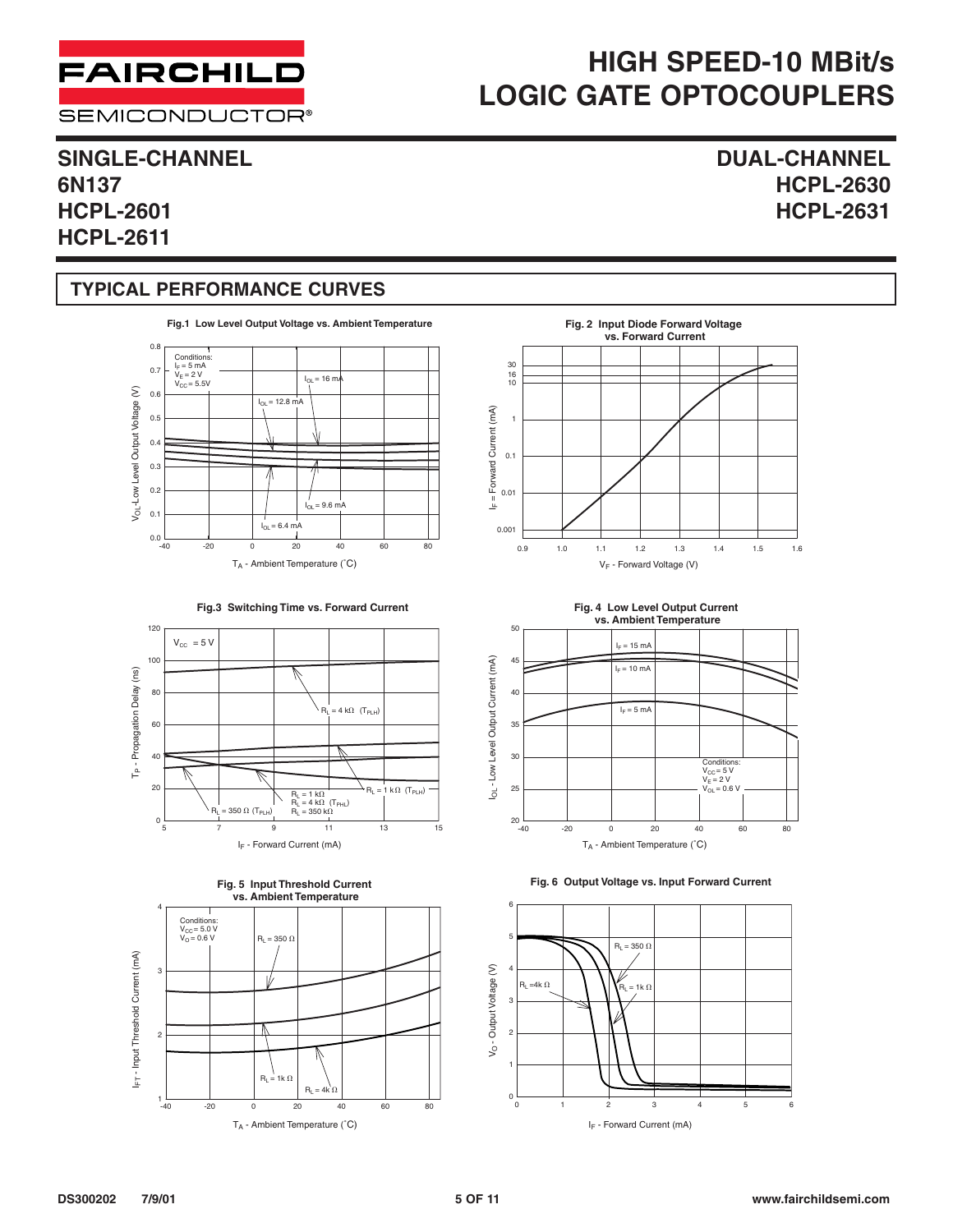**SEMICONDUCTOR®** 

### **SINGLE-CHANNEL DUAL-CHANNEL 6N137 HCPL-2630 HCPL-2601 HCPL-2631 HCPL-2611**

#### **TYPICAL PERFORMANCE CURVES**



















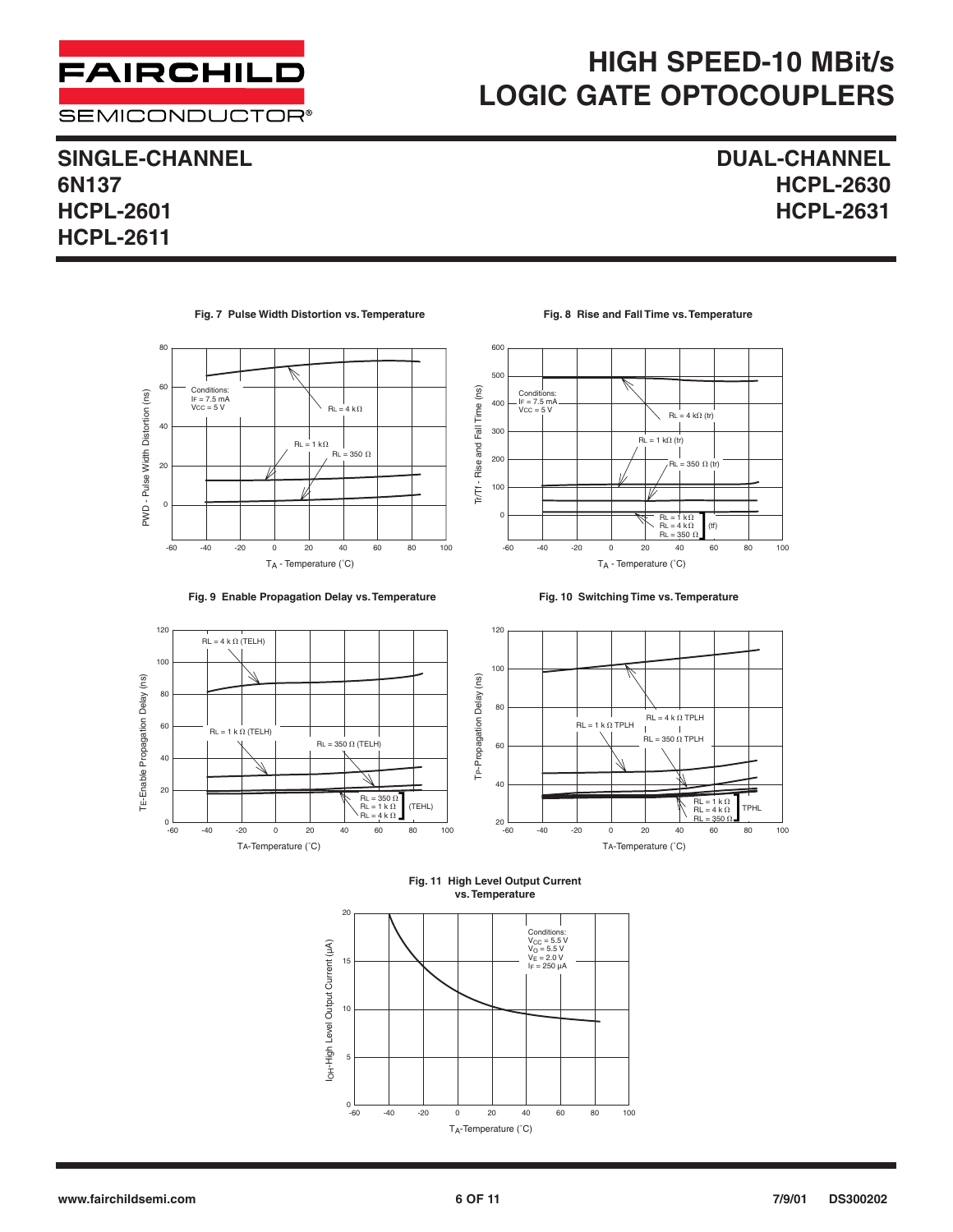

### **SINGLE-CHANNEL DUAL-CHANNEL 6N137 HCPL-2630 HCPL-2601 HCPL-2631**

**HCPL-2611**

#### **Fig. 7 Pulse Width Distortion vs. Temperature**











**Fig. 10 Switching Time vs. Temperature**







TA-Temperature (˚C)

#### **Fig. 11 High Level Output Current vs. Temperature**

TP-Propagation Delay (ns)

100

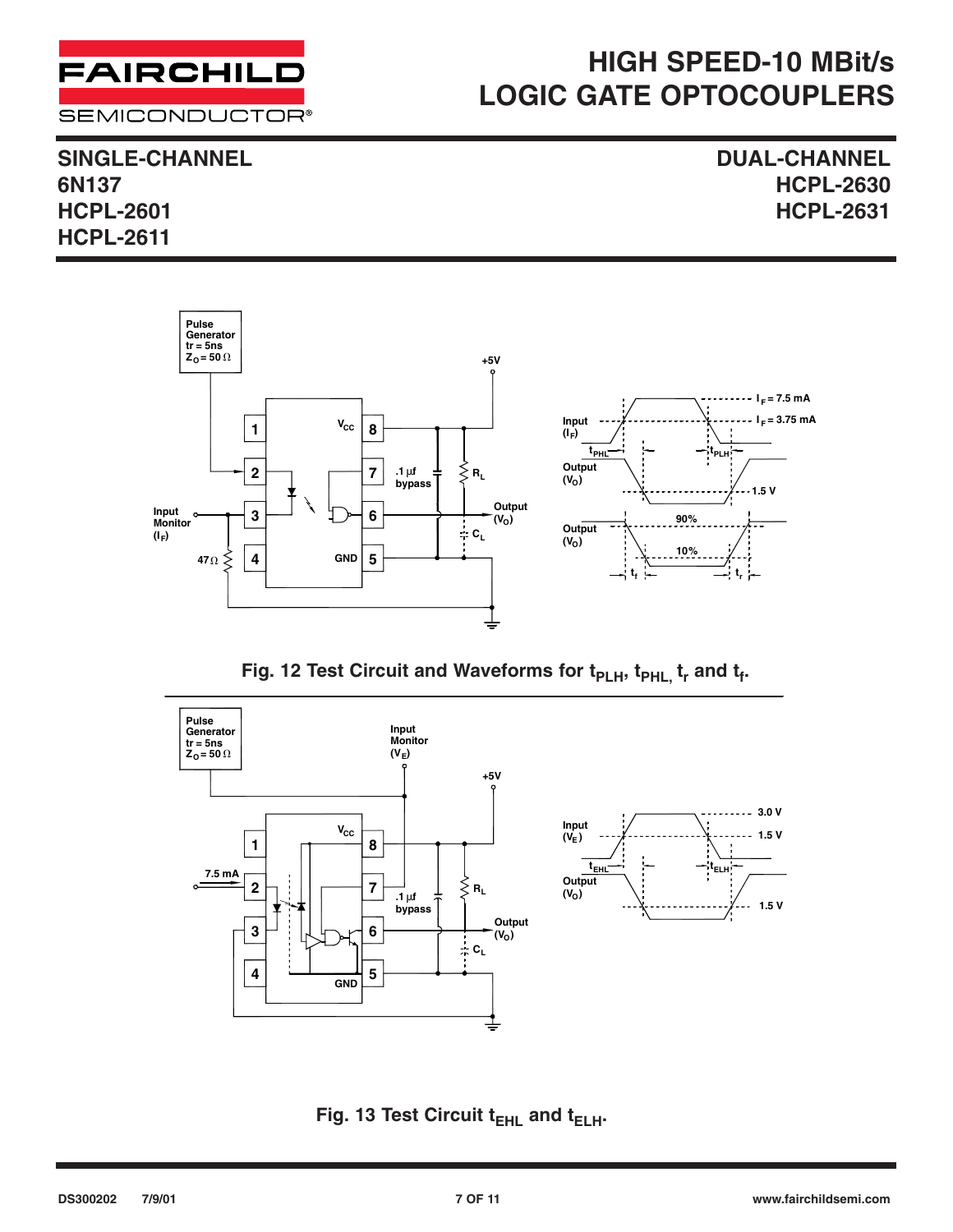

**SINGLE-CHANNEL DUAL-CHANNEL 6N137 HCPL-2630 HCPL-2601 HCPL-2631 HCPL-2611**



Fig. 12 Test Circuit and Waveforms for t<sub>PLH</sub>, t<sub>PHL,</sub> t<sub>r</sub> and t<sub>f</sub>.



**Fig. 13 Test Circuit t<sub>EHL</sub> and t<sub>ELH</sub>.**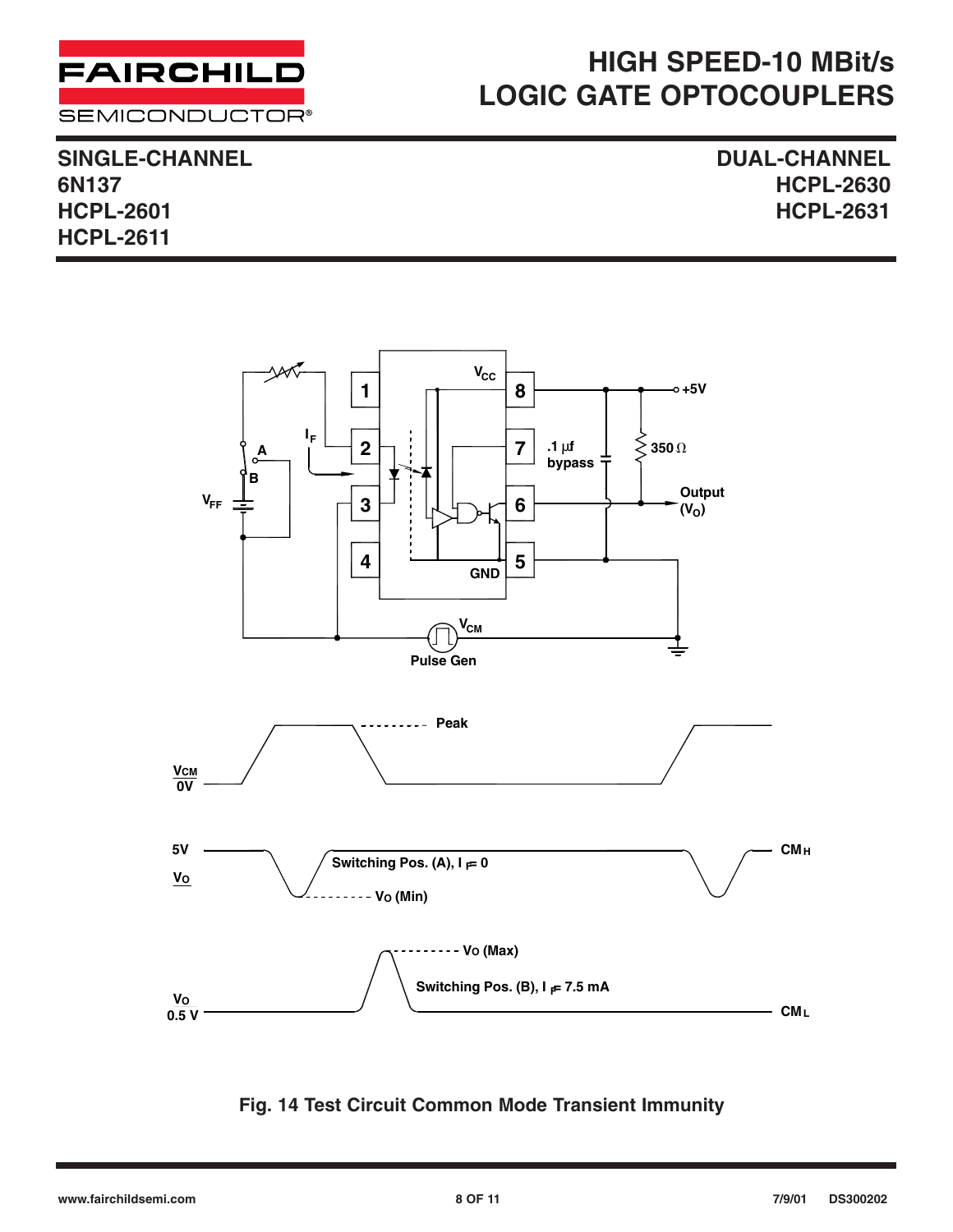

**SEMICONDUCTOR®** 

**SINGLE-CHANNEL DUAL-CHANNEL HCPL-2601 HCPL-2631 HCPL-2611**

**6N137 HCPL-2630**



#### **Fig. 14 Test Circuit Common Mode Transient Immunity**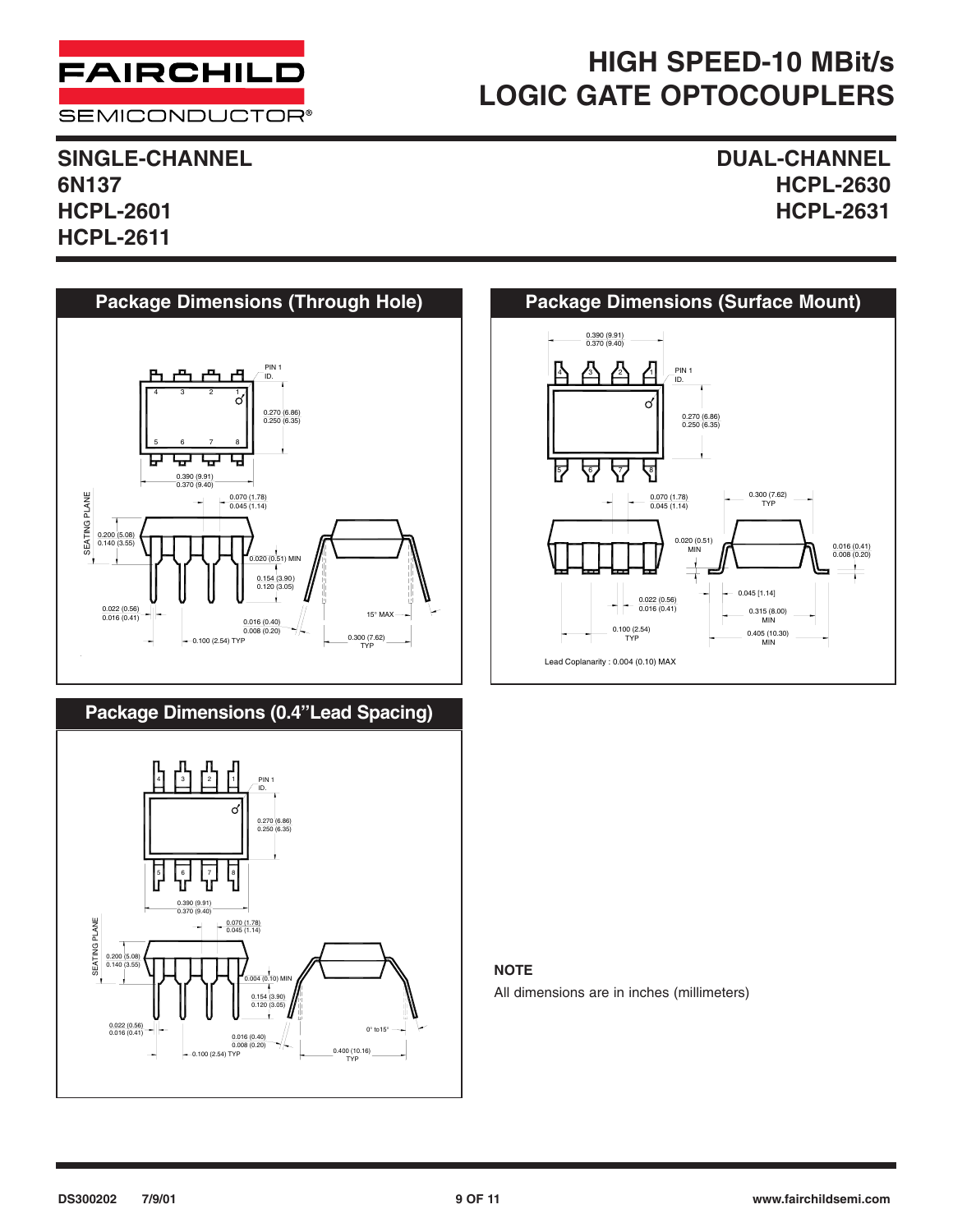

**SEMICONDUCTOR®** 

**SINGLE-CHANNEL DUAL-CHANNEL 6N137 HCPL-2630 HCPL-2601 HCPL-2631 HCPL-2611**







#### **NOTE**

All dimensions are in inches (millimeters)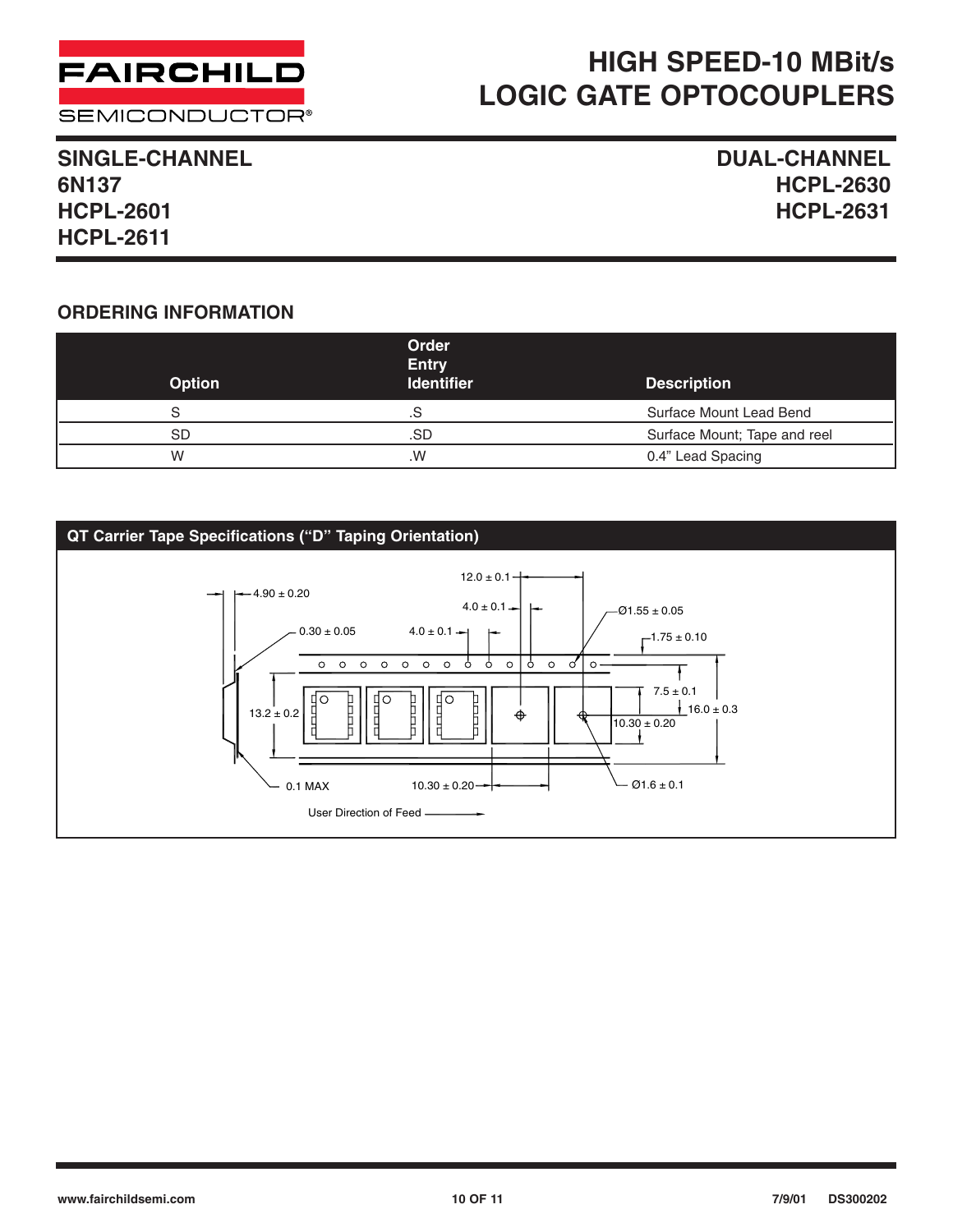

#### **SEMICONDUCTOR®**

# **HIGH SPEED-10 MBit/s LOGIC GATE OPTOCOUPLERS**

#### **SINGLE-CHANNEL DUAL-CHANNEL 6N137 HCPL-2630 HCPL-2601 HCPL-2631 HCPL-2611**

#### **ORDERING INFORMATION**

| <b>Option</b> | Order<br><b>Entry</b><br><b>Identifier</b> | <b>Description</b>           |
|---------------|--------------------------------------------|------------------------------|
| S             | .S                                         | Surface Mount Lead Bend      |
| <b>SD</b>     | .SD                                        | Surface Mount; Tape and reel |
| W             | .W                                         | 0.4" Lead Spacing            |